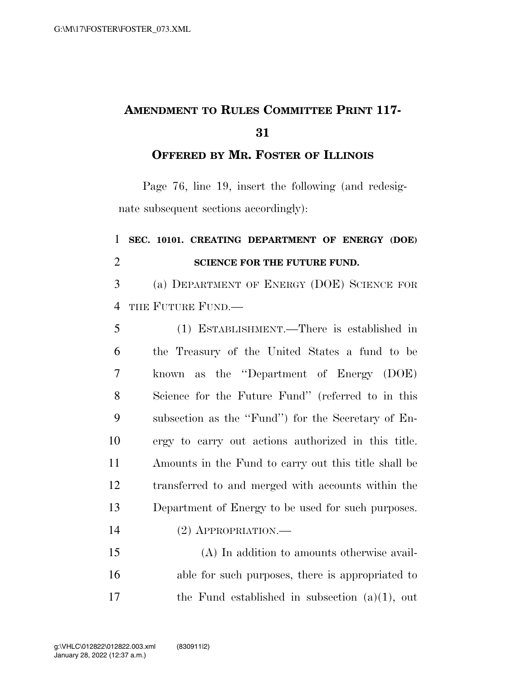## **AMENDMENT TO RULES COMMITTEE PRINT 117-**

## **OFFERED BY MR. FOSTER OF ILLINOIS**

Page 76, line 19, insert the following (and redesignate subsequent sections accordingly):

## **SEC. 10101. CREATING DEPARTMENT OF ENERGY (DOE) SCIENCE FOR THE FUTURE FUND.**

 (a) DEPARTMENT OF ENERGY (DOE) SCIENCE FOR THE FUTURE FUND.—

| 5  | (1) ESTABLISHMENT.—There is established in           |
|----|------------------------------------------------------|
| 6  | the Treasury of the United States a fund to be       |
| 7  | known as the "Department of Energy (DOE)             |
| 8  | Science for the Future Fund" (referred to in this    |
| 9  | subsection as the "Fund") for the Secretary of En-   |
| 10 | ergy to carry out actions authorized in this title.  |
| 11 | Amounts in the Fund to carry out this title shall be |
| 12 | transferred to and merged with accounts within the   |
| 13 | Department of Energy to be used for such purposes.   |
| 14 | $(2)$ APPROPRIATION.—                                |
| 15 | $(A)$ In addition to amounts otherwise avail-        |

 (A) In addition to amounts otherwise avail- able for such purposes, there is appropriated to the Fund established in subsection (a)(1), out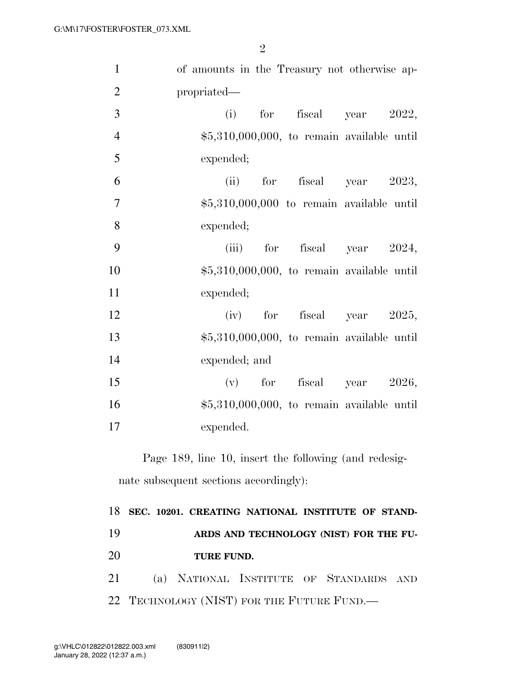| $\mathbf{1}$   | of amounts in the Treasury not otherwise ap- |
|----------------|----------------------------------------------|
| $\overline{2}$ | propriated—                                  |
| 3              | fiscal year 2022,<br>$(i)$ for               |
| $\overline{4}$ | $$5,310,000,000,$ to remain available until  |
| 5              | expended;                                    |
| 6              | (ii) for fiscal year $2023$ ,                |
| $\tau$         | $$5,310,000,000$ to remain available until   |
| 8              | expended;                                    |
| 9              | (iii) for fiscal year $2024$ ,               |
| 10             | $$5,310,000,000$ , to remain available until |
| 11             | expended;                                    |
| 12             | $(iv)$ for fiscal year 2025,                 |
| 13             | $$5,310,000,000$ , to remain available until |
| 14             | expended; and                                |
| 15             | (v) for fiscal year $2026$ ,                 |
| 16             | $$5,310,000,000,$ to remain available until  |
| 17             | expended.                                    |
|                |                                              |

Page 189, line 10, insert the following (and redesignate subsequent sections accordingly):

|      |            | 18 SEC. 10201. CREATING NATIONAL INSTITUTE OF STAND- |  |  |
|------|------------|------------------------------------------------------|--|--|
| 19   |            | ARDS AND TECHNOLOGY (NIST) FOR THE FU-               |  |  |
| 20   | TURE FUND. |                                                      |  |  |
| 21 — |            | (a) NATIONAL INSTITUTE OF STANDARDS AND              |  |  |
|      |            | 22 TECHNOLOGY (NIST) FOR THE FUTURE FUND.—           |  |  |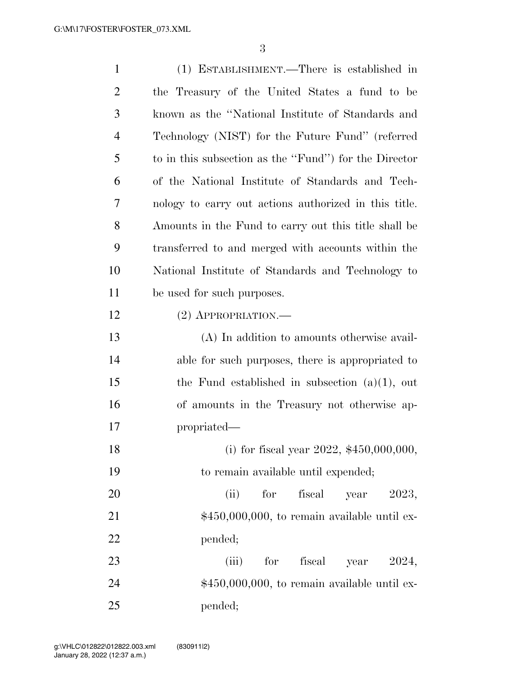| $\mathbf{1}$   | (1) ESTABLISHMENT.—There is established in            |
|----------------|-------------------------------------------------------|
| $\overline{2}$ | the Treasury of the United States a fund to be        |
| 3              | known as the "National Institute of Standards and     |
| $\overline{4}$ | Technology (NIST) for the Future Fund" (referred      |
| 5              | to in this subsection as the "Fund") for the Director |
| 6              | of the National Institute of Standards and Tech-      |
| 7              | nology to carry out actions authorized in this title. |
| 8              | Amounts in the Fund to carry out this title shall be  |
| 9              | transferred to and merged with accounts within the    |
| 10             | National Institute of Standards and Technology to     |
| 11             | be used for such purposes.                            |
| 12             | $(2)$ APPROPRIATION.—                                 |
| 13             | (A) In addition to amounts otherwise avail-           |
| 14             | able for such purposes, there is appropriated to      |
| 15             | the Fund established in subsection $(a)(1)$ , out     |
| 16             | of amounts in the Treasury not otherwise ap-          |
| 17             | propriated—                                           |
| 18             | (i) for fiscal year $2022$ , $$450,000,000$ ,         |
| 19             | to remain available until expended;                   |
| 20             | fiscal year 2023,<br>(ii)<br>for                      |
| 21             | $$450,000,000$ , to remain available until ex-        |
| 22             | pended;                                               |
| 23             | (iii)<br>fiscal year 2024,<br>for                     |
| 24             | $$450,000,000$ , to remain available until ex-        |
| 25             | pended;                                               |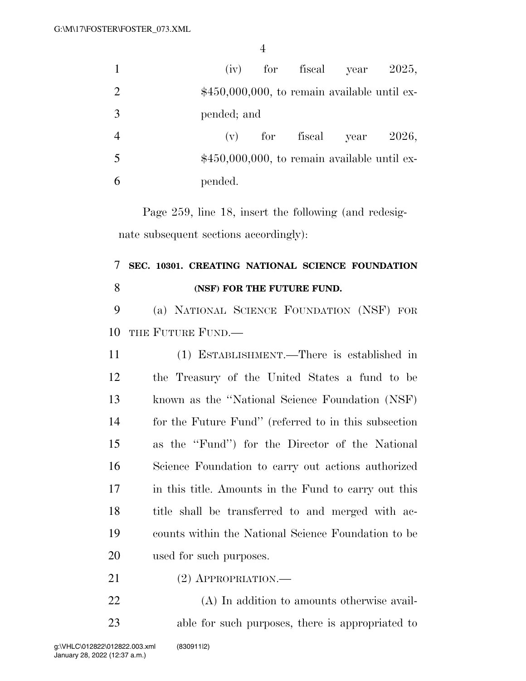| $\mathbf{1}$   |         |                |            | (iv) for fiscal year                           | 2025, |
|----------------|---------|----------------|------------|------------------------------------------------|-------|
| 2              |         |                |            | $$450,000,000$ , to remain available until ex- |       |
| 3              |         | pended; and    |            |                                                |       |
| $\overline{4}$ |         | $(\mathbf{v})$ | for fiscal | year                                           | 2026, |
| 5              |         |                |            | $$450,000,000$ , to remain available until ex- |       |
| 6              | pended. |                |            |                                                |       |

Page 259, line 18, insert the following (and redesignate subsequent sections accordingly):

## **SEC. 10301. CREATING NATIONAL SCIENCE FOUNDATION (NSF) FOR THE FUTURE FUND.**

 (a) NATIONAL SCIENCE FOUNDATION (NSF) FOR 10 THE FUTURE FUND-

 (1) ESTABLISHMENT.—There is established in the Treasury of the United States a fund to be known as the ''National Science Foundation (NSF) for the Future Fund'' (referred to in this subsection as the ''Fund'') for the Director of the National Science Foundation to carry out actions authorized in this title. Amounts in the Fund to carry out this title shall be transferred to and merged with ac- counts within the National Science Foundation to be used for such purposes.

21 (2) APPROPRIATION.—

 (A) In addition to amounts otherwise avail-able for such purposes, there is appropriated to